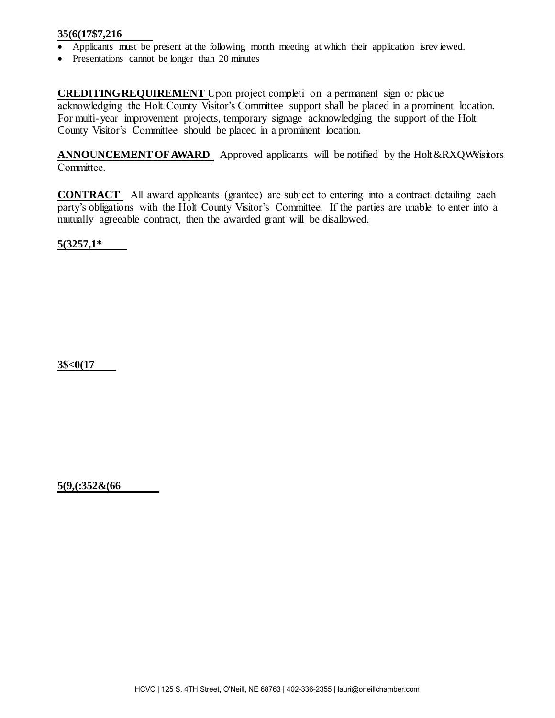- Applicants must be present at the following month meeting at which their application isrev iewed.
- Presentations cannot be longer than 20 minutes

**CREDITING REQUIREMENT** Upon project completi on a permanent sign or plaque acknowledging the Holt County Visitor's Committee support shall be placed in a prominent location. For multi-year improvement projects, temporary signage acknowledging the support of the Holt County Visitor's Committee should be placed in a prominent location.

**ANNOUNCEMENT OF AWARD** Approved applicants will be notified by the Holt  $\&RX\&W\&S$ Committee.

**CONTRACT** All award applicants (grantee) are subject to entering into a contract detailing each party's obligations with the Holt County Visitor's Committee. If the parties are unable to enter into a mutually agreeable contract, then the awarded grant will be disallowed.

5(3257,1\*7KLUWGDVDIWHUWKHFRPSOHWRQIWKHSURMHFWRUWKHHQRIWKHFDOHQDUHDUIRI PXOWHDUSURMHFWVDUHSRUWZDOEHVXEPMWHGWRWKHROW&RXWWMRUW&RPPMWHHJM UHVXOWVRUSURJUHVVWRZDUGUHVXOWV7KHUHSRUWPXVWRXWOQUWKHREMHFWWHVRIW **QWZKDWZHUHWKHFUFXPVWDQHVWKDWOHDGWRWKHOLWRISURJUHVV7KHUHSRUWZDODC** DOOSDGUHFHEWVIRUWKHJUDWPRQXVHG1RPRQZDOEHUHOHDVHGXWDWKHIDOUHSRUWRIW HDUSURJUHVVUHSRUWMSUHVHWHGDQDSSURMG1RPRQZDOEHUHOHDVHGEHRQWKRVHHSHQ GRFXPHWHGE\$DGUHFHKWV,IWKHJUDWHHGRHVQWKDMWKHIXQVQFHVVDUWRSDQEHVDQZD IRUUHPEXUVHPHWVDFRSRIWKHMPEHPDEHVXEPWWHGZWKSURUQWIEDWRWRWKHROW&RXW 9LVLWRU¶V&RPPLWWHH

3\$@(178SRQHFHEWDQDFFHSWDQHRIWKHIQOSURMHFWUHSRUWRIWKHHQRIHDUSURJUHVV UHSRUWWKHROW&RXWWWRUW&RPPWWHHZDOUHTXHVWDFKHFNIURPWKHROW&RXW&OHU DQDOSDPHQWRIJUDQVIXQV7KMFKHFNZDOEHVHQVEWKHVHFUHWDUWUHDVXUHURIWKHROW& 9LVLWRU¶V&RPPLWWHHWRVHQGGLUHFWO\WRWKHJUDQWHHRUYHQGRUEDVHGRQSULRUDUUDQJHPHQWV 7KHROW&RXWWWRUY&RPPWWHHFDROXVHSURFHHGVIURPWKH,PSURMPHW)XQWRIXQDO SURMHFWKHUHDQVKDOORWREOLDWHLWVHOIWRXVHDPRHRXWVGHWKH,PSURMPHW)XQWRI SURMHFWKHUHDXUWKHUPRUHWKHROW&RXWWWRUW&RPPLWWHHVKDOORWJMPXOWHDUJU REOLDWHROW&RXWWRDPRXWVRMUDQDERMDPRXWVDFFUXLWKH,PSURMPHW)XQWKURXJK WKHFROOHFWR**RIORGJLWD**[

5(9:352&(66 \*UDWVDUHGLYFUHWRQUEDVHGXSRQDDDEOHIXQVRWKHUDWELDWHGXV DQDSSURSUDWHQVVDQDQVESDWHGHIIHFWMQVVRIWKHDFFHSWHGSURMHFW)XUWKHUPRUH PXVWFRWMHWRFRPSOZWKWKH1HEUDVNDWWRUVHMORSPHW\$FW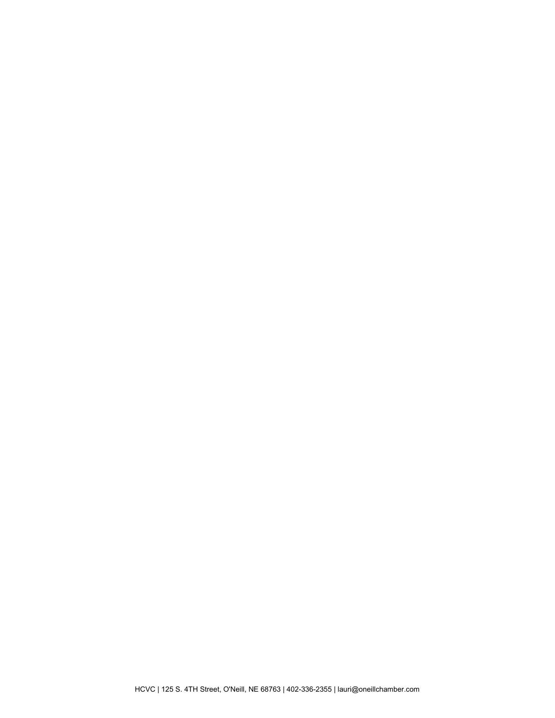HCVC | 125 S. 4TH Street, O'Neill, NE 68763 | 402-336-2355 | lauri@oneillchamber.com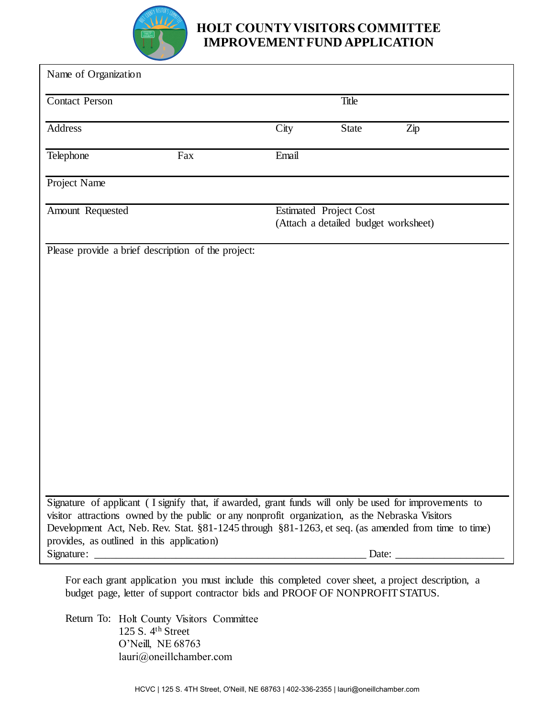

## **HOLT COUNTY VISITORS COMMITTEE IMPROVEMENT FUND APPLICATION**

| Name of Organization                                                                                                                                                                                                                                                                                                                                         |                                                                       |              |     |  |  |
|--------------------------------------------------------------------------------------------------------------------------------------------------------------------------------------------------------------------------------------------------------------------------------------------------------------------------------------------------------------|-----------------------------------------------------------------------|--------------|-----|--|--|
| <b>Contact Person</b>                                                                                                                                                                                                                                                                                                                                        | Title                                                                 |              |     |  |  |
| Address                                                                                                                                                                                                                                                                                                                                                      | City                                                                  | <b>State</b> | Zip |  |  |
| Telephone<br>Fax                                                                                                                                                                                                                                                                                                                                             | Email                                                                 |              |     |  |  |
| Project Name                                                                                                                                                                                                                                                                                                                                                 |                                                                       |              |     |  |  |
| Amount Requested                                                                                                                                                                                                                                                                                                                                             | <b>Estimated Project Cost</b><br>(Attach a detailed budget worksheet) |              |     |  |  |
| Please provide a brief description of the project:                                                                                                                                                                                                                                                                                                           |                                                                       |              |     |  |  |
|                                                                                                                                                                                                                                                                                                                                                              |                                                                       |              |     |  |  |
|                                                                                                                                                                                                                                                                                                                                                              |                                                                       |              |     |  |  |
|                                                                                                                                                                                                                                                                                                                                                              |                                                                       |              |     |  |  |
|                                                                                                                                                                                                                                                                                                                                                              |                                                                       |              |     |  |  |
|                                                                                                                                                                                                                                                                                                                                                              |                                                                       |              |     |  |  |
|                                                                                                                                                                                                                                                                                                                                                              |                                                                       |              |     |  |  |
|                                                                                                                                                                                                                                                                                                                                                              |                                                                       |              |     |  |  |
|                                                                                                                                                                                                                                                                                                                                                              |                                                                       |              |     |  |  |
|                                                                                                                                                                                                                                                                                                                                                              |                                                                       |              |     |  |  |
| Signature of applicant (I signify that, if awarded, grant funds will only be used for improvements to<br>visitor attractions owned by the public or any nonprofit organization, as the Nebraska Visitors<br>Development Act, Neb. Rev. Stat. §81-1245 through §81-1263, et seq. (as amended from time to time)<br>provides, as outlined in this application) |                                                                       |              |     |  |  |
|                                                                                                                                                                                                                                                                                                                                                              |                                                                       |              |     |  |  |

For each grant application you must include this completed cover sheet, a project description, a budget page, letter of support contractor bids and PROOF OF NONPROFIT STATUS.

Return To: Holt County Visitors Committee 125 S.  $4<sup>th</sup>$  Street O'Neill, NE 68763 lauri@oneillchamber.com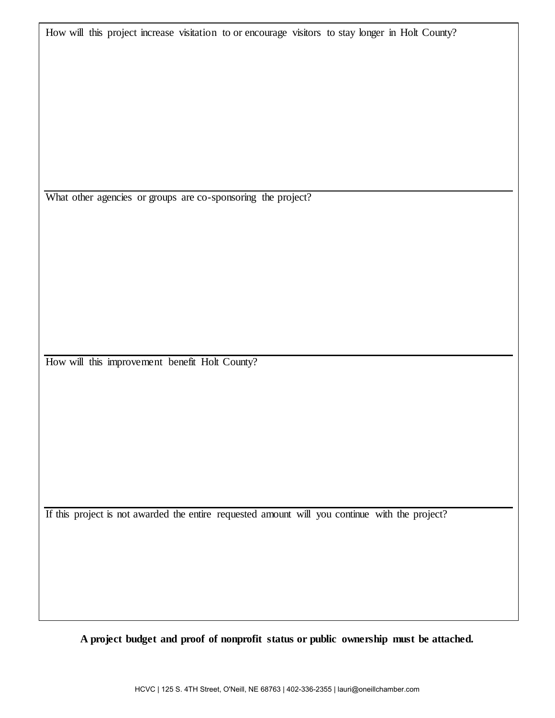| How will this project increase visitation to or encourage visitors to stay longer in Holt County? |
|---------------------------------------------------------------------------------------------------|
|                                                                                                   |
|                                                                                                   |
|                                                                                                   |
|                                                                                                   |
|                                                                                                   |
|                                                                                                   |
| What other agencies or groups are co-sponsoring the project?                                      |
|                                                                                                   |
|                                                                                                   |
|                                                                                                   |
|                                                                                                   |
|                                                                                                   |
|                                                                                                   |
|                                                                                                   |
| How will this improvement benefit Holt County?                                                    |
|                                                                                                   |
|                                                                                                   |
|                                                                                                   |
|                                                                                                   |
|                                                                                                   |
| If this project is not awarded the entire requested amount will you continue with the project?    |
|                                                                                                   |
|                                                                                                   |
|                                                                                                   |
|                                                                                                   |
|                                                                                                   |

-

-

**A project budget and proof of nonprofit status or public ownership must be attached.**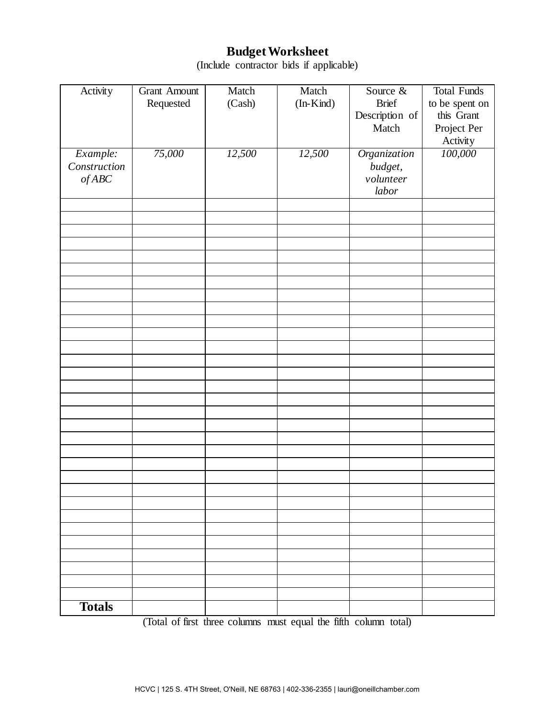## **Budget Worksheet**

(Include contractor bids if applicable)

| Activity      | <b>Grant Amount</b> | Match  | Match        | Source &       | <b>Total Funds</b> |
|---------------|---------------------|--------|--------------|----------------|--------------------|
|               | Requested           | (Cash) | (In-Kind)    | <b>Brief</b>   | to be spent on     |
|               |                     |        |              | Description of | this Grant         |
|               |                     |        |              | Match          | Project Per        |
|               |                     |        |              |                | Activity           |
| Example:      | 75,000              | 12,500 | 12,500       | Organization   | 100,000            |
| Construction  |                     |        |              | budget,        |                    |
| of ABC        |                     |        |              | volunteer      |                    |
|               |                     |        |              |                |                    |
|               |                     |        |              | labor          |                    |
|               |                     |        |              |                |                    |
|               |                     |        |              |                |                    |
|               |                     |        |              |                |                    |
|               |                     |        |              |                |                    |
|               |                     |        |              |                |                    |
|               |                     |        |              |                |                    |
|               |                     |        |              |                |                    |
|               |                     |        |              |                |                    |
|               |                     |        |              |                |                    |
|               |                     |        |              |                |                    |
|               |                     |        |              |                |                    |
|               |                     |        |              |                |                    |
|               |                     |        |              |                |                    |
|               |                     |        |              |                |                    |
|               |                     |        |              |                |                    |
|               |                     |        |              |                |                    |
|               |                     |        |              |                |                    |
|               |                     |        |              |                |                    |
|               |                     |        |              |                |                    |
|               |                     |        |              |                |                    |
|               |                     |        |              |                |                    |
|               |                     |        |              |                |                    |
|               |                     |        |              |                |                    |
|               |                     |        |              |                |                    |
|               |                     |        |              |                |                    |
|               |                     |        |              |                |                    |
|               |                     |        |              |                |                    |
|               |                     |        |              |                |                    |
| <b>Totals</b> |                     |        |              |                |                    |
|               |                     |        | $c_{\Omega}$ |                |                    |

(Total of first three columns must equal the fifth column total)